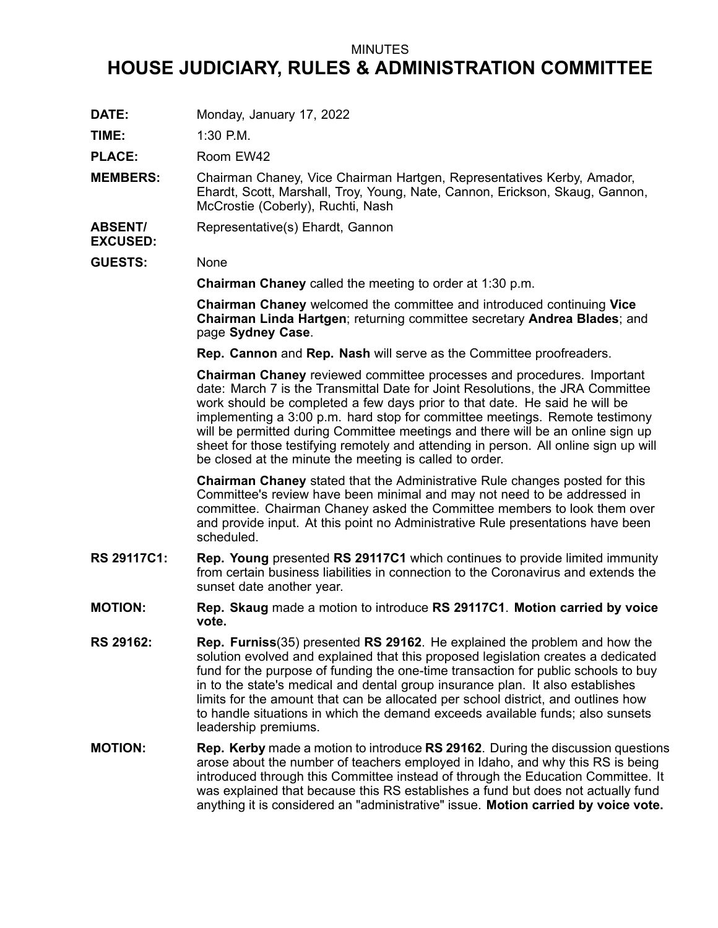## MINUTES

## **HOUSE JUDICIARY, RULES & ADMINISTRATION COMMITTEE**

**DATE:** Monday, January 17, 2022

**TIME:** 1:30 P.M.

PLACE: Room EW42

- **MEMBERS:** Chairman Chaney, Vice Chairman Hartgen, Representatives Kerby, Amador, Ehardt, Scott, Marshall, Troy, Young, Nate, Cannon, Erickson, Skaug, Gannon, McCrostie (Coberly), Ruchti, Nash
- **ABSENT/** Representative(s) Ehardt, Gannon
- **GUESTS:** None

**EXCUSED:**

**Chairman Chaney** called the meeting to order at 1:30 p.m.

**Chairman Chaney** welcomed the committee and introduced continuing **Vice Chairman Linda Hartgen**; returning committee secretary **Andrea Blades**; and page **Sydney Case**.

**Rep. Cannon** and **Rep. Nash** will serve as the Committee proofreaders.

**Chairman Chaney** reviewed committee processes and procedures. Important date: March 7 is the Transmittal Date for Joint Resolutions, the JRA Committee work should be completed <sup>a</sup> few days prior to that date. He said he will be implementing <sup>a</sup> 3:00 p.m. hard stop for committee meetings. Remote testimony will be permitted during Committee meetings and there will be an online sign up sheet for those testifying remotely and attending in person. All online sign up will be closed at the minute the meeting is called to order.

**Chairman Chaney** stated that the Administrative Rule changes posted for this Committee's review have been minimal and may not need to be addressed in committee. Chairman Chaney asked the Committee members to look them over and provide input. At this point no Administrative Rule presentations have been scheduled.

- **RS 29117C1: Rep. Young** presented **RS 29117C1** which continues to provide limited immunity from certain business liabilities in connection to the Coronavirus and extends the sunset date another year.
- **MOTION: Rep. Skaug** made <sup>a</sup> motion to introduce **RS 29117C1**. **Motion carried by voice vote.**
- **RS 29162: Rep. Furniss**(35) presented **RS 29162**. He explained the problem and how the solution evolved and explained that this proposed legislation creates <sup>a</sup> dedicated fund for the purpose of funding the one-time transaction for public schools to buy in to the state's medical and dental group insurance plan. It also establishes limits for the amount that can be allocated per school district, and outlines how to handle situations in which the demand exceeds available funds; also sunsets leadership premiums.
- **MOTION: Rep. Kerby** made <sup>a</sup> motion to introduce **RS 29162**. During the discussion questions arose about the number of teachers employed in Idaho, and why this RS is being introduced through this Committee instead of through the Education Committee. It was explained that because this RS establishes <sup>a</sup> fund but does not actually fund anything it is considered an "administrative" issue. **Motion carried by voice vote.**